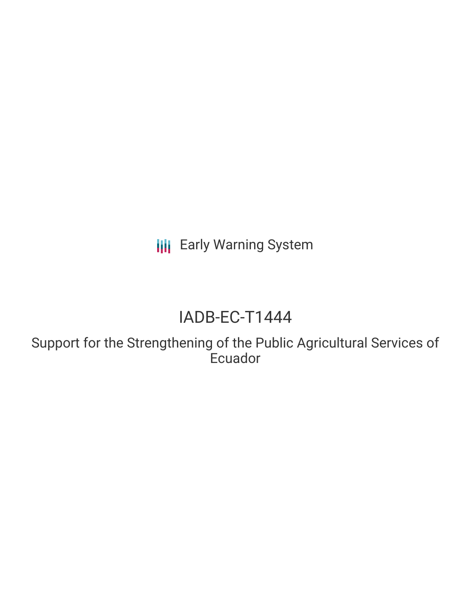**III** Early Warning System

# IADB-EC-T1444

Support for the Strengthening of the Public Agricultural Services of **Ecuador**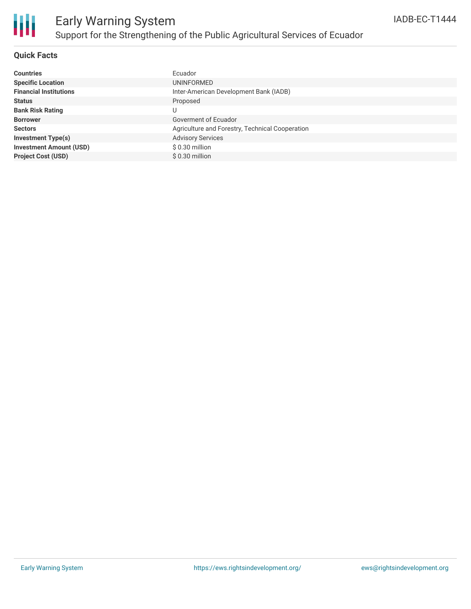

# Early Warning System Support for the Strengthening of the Public Agricultural Services of Ecuador

### **Quick Facts**

| <b>Countries</b>               | Ecuador                                         |
|--------------------------------|-------------------------------------------------|
| <b>Specific Location</b>       | UNINFORMED                                      |
| <b>Financial Institutions</b>  | Inter-American Development Bank (IADB)          |
| <b>Status</b>                  | Proposed                                        |
| <b>Bank Risk Rating</b>        | U                                               |
| <b>Borrower</b>                | Goverment of Ecuador                            |
| <b>Sectors</b>                 | Agriculture and Forestry, Technical Cooperation |
| <b>Investment Type(s)</b>      | <b>Advisory Services</b>                        |
| <b>Investment Amount (USD)</b> | $$0.30$ million                                 |
| <b>Project Cost (USD)</b>      | $$0.30$ million                                 |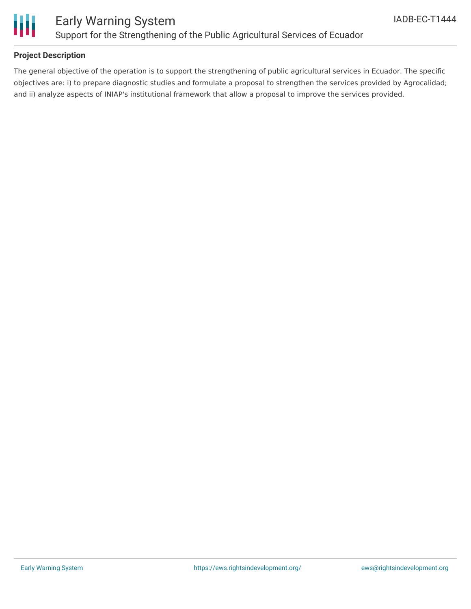

### **Project Description**

The general objective of the operation is to support the strengthening of public agricultural services in Ecuador. The specific objectives are: i) to prepare diagnostic studies and formulate a proposal to strengthen the services provided by Agrocalidad; and ii) analyze aspects of INIAP's institutional framework that allow a proposal to improve the services provided.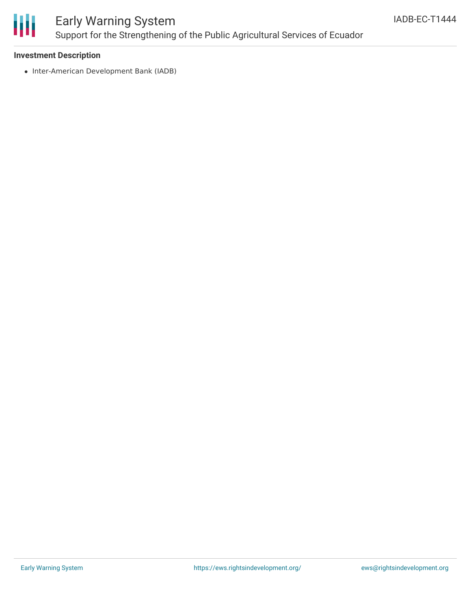

## Early Warning System Support for the Strengthening of the Public Agricultural Services of Ecuador

### **Investment Description**

• Inter-American Development Bank (IADB)